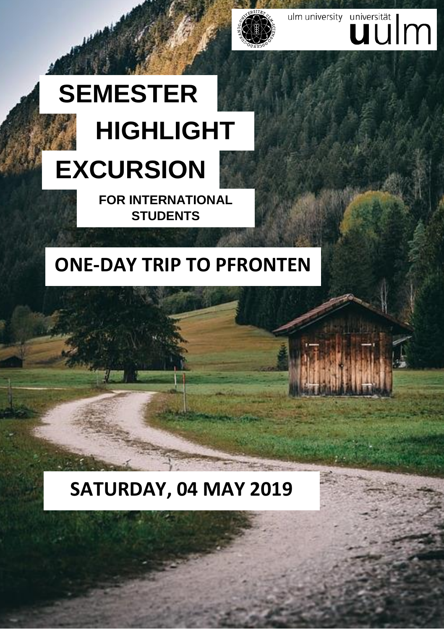# **EXCURSION HIGHLIGHT SEMESTER**

**FOR INTERNATIONAL STUDENTS**

## **ONE-DAY TRIP TO PFRONTEN**

ulm university universität

### **SATURDAY, 04 MAY 2019**